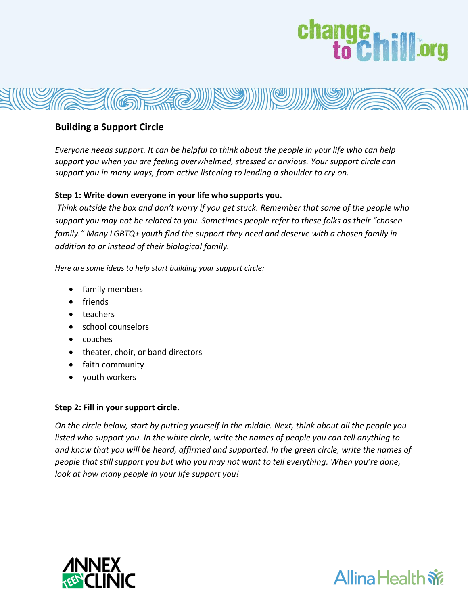# change hill org



### **Building a Support Circle**

*Everyone needs support. It can be helpful to think about the people in your life who can help support you when you are feeling overwhelmed, stressed or anxious. Your support circle can support you in many ways, from active listening to lending a shoulder to cry on.* 

#### **Step 1: Write down everyone in your life who supports you.**

*Think outside the box and don't worry if you get stuck. Remember that some of the people who support you may not be related to you. Sometimes people refer to these folks as their "chosen family." Many LGBTQ+ youth find the support they need and deserve with a chosen family in addition to or instead of their biological family.*

*Here are some ideas to help start building your support circle:* 

- family members
- friends
- teachers
- school counselors
- coaches
- theater, choir, or band directors
- faith community
- youth workers

#### **Step 2: Fill in your support circle.**

*On the circle below, start by putting yourself in the middle. Next, think about all the people you listed who support you. In the white circle, write the names of people you can tell anything to and know that you will be heard, affirmed and supported. In the green circle, write the names of people that still support you but who you may not want to tell everything. When you're done, look at how many people in your life support you!*



### **Allina Health**  $\mathbf{\tilde{w}}$